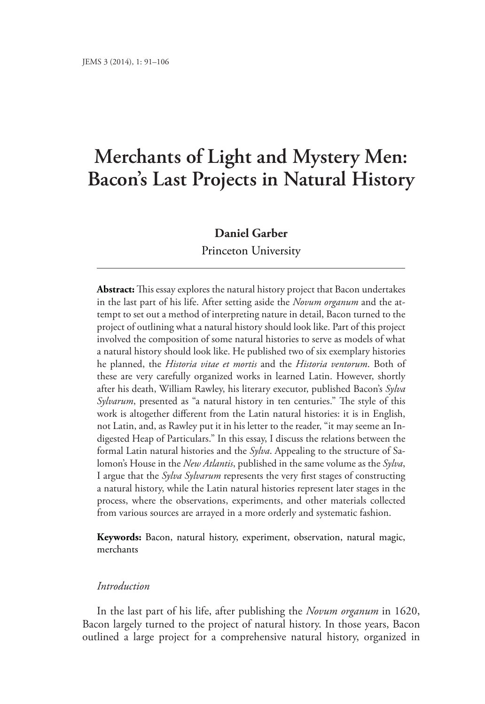# **Merchants of Light and Mystery Men: Bacon's Last Projects in Natural History**

# **Daniel Garber**

Princeton University

**Abstract:** This essay explores the natural history project that Bacon undertakes in the last part of his life. After setting aside the *Novum organum* and the attempt to set out a method of interpreting nature in detail, Bacon turned to the project of outlining what a natural history should look like. Part of this project involved the composition of some natural histories to serve as models of what a natural history should look like. He published two of six exemplary histories he planned, the *Historia vitae et mortis* and the *Historia ventorum*. Both of these are very carefully organized works in learned Latin. However, shortly after his death, William Rawley, his literary executor, published Bacon's *Sylva Sylvarum*, presented as "a natural history in ten centuries." The style of this work is altogether different from the Latin natural histories: it is in English, not Latin, and, as Rawley put it in his letter to the reader, "it may seeme an Indigested Heap of Particulars." In this essay, I discuss the relations between the formal Latin natural histories and the *Sylva*. Appealing to the structure of Salomon's House in the *New Atlantis*, published in the same volume as the *Sylva*, I argue that the *Sylva Sylvarum* represents the very first stages of constructing a natural history, while the Latin natural histories represent later stages in the process, where the observations, experiments, and other materials collected from various sources are arrayed in a more orderly and systematic fashion.

**Keywords:** Bacon, natural history, experiment, observation, natural magic, merchants

#### *Introduction*

In the last part of his life, after publishing the *Novum organum* in 1620, Bacon largely turned to the project of natural history. In those years, Bacon outlined a large project for a comprehensive natural history, organized in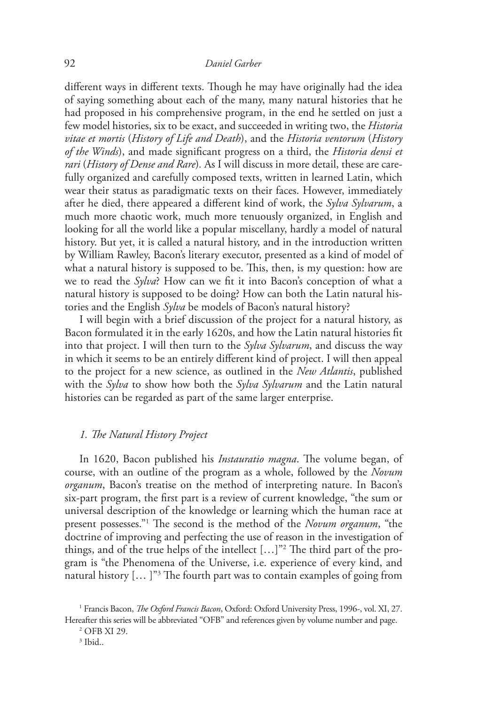different ways in different texts. Though he may have originally had the idea of saying something about each of the many, many natural histories that he had proposed in his comprehensive program, in the end he settled on just a few model histories, six to be exact, and succeeded in writing two, the *Historia vitae et mortis* (*History of Life and Death*), and the *Historia ventorum* (*History of the Winds*), and made significant progress on a third, the *Historia densi et rari* (*History of Dense and Rare*)*.* As I will discuss in more detail, these are carefully organized and carefully composed texts, written in learned Latin, which wear their status as paradigmatic texts on their faces. However, immediately after he died, there appeared a different kind of work, the *Sylva Sylvarum*, a much more chaotic work, much more tenuously organized, in English and looking for all the world like a popular miscellany, hardly a model of natural history. But yet, it is called a natural history, and in the introduction written by William Rawley, Bacon's literary executor, presented as a kind of model of what a natural history is supposed to be. This, then, is my question: how are we to read the *Sylva*? How can we fit it into Bacon's conception of what a natural history is supposed to be doing? How can both the Latin natural histories and the English *Sylva* be models of Bacon's natural history?

I will begin with a brief discussion of the project for a natural history, as Bacon formulated it in the early 1620s, and how the Latin natural histories fit into that project. I will then turn to the *Sylva Sylvarum*, and discuss the way in which it seems to be an entirely different kind of project. I will then appeal to the project for a new science, as outlined in the *New Atlantis*, published with the *Sylva* to show how both the *Sylva Sylvarum* and the Latin natural histories can be regarded as part of the same larger enterprise.

#### *1. The Natural History Project*

In 1620, Bacon published his *Instauratio magna*. The volume began, of course, with an outline of the program as a whole, followed by the *Novum organum*, Bacon's treatise on the method of interpreting nature. In Bacon's six-part program, the first part is a review of current knowledge, "the sum or universal description of the knowledge or learning which the human race at present possesses."<sup>1</sup> The second is the method of the *Novum organum*, "the doctrine of improving and perfecting the use of reason in the investigation of things, and of the true helps of the intellect  $[...]^{n_2}$  The third part of the program is "the Phenomena of the Universe, i.e. experience of every kind, and natural history [...]"<sup>3</sup> The fourth part was to contain examples of going from

<sup>&</sup>lt;sup>1</sup> Francis Bacon, *The Oxford Francis Bacon*, Oxford: Oxford University Press, 1996-, vol. XI, 27. Hereafter this series will be abbreviated "OFB" and references given by volume number and page.

<sup>2</sup> OFB XI 29.

<sup>3</sup> Ibid..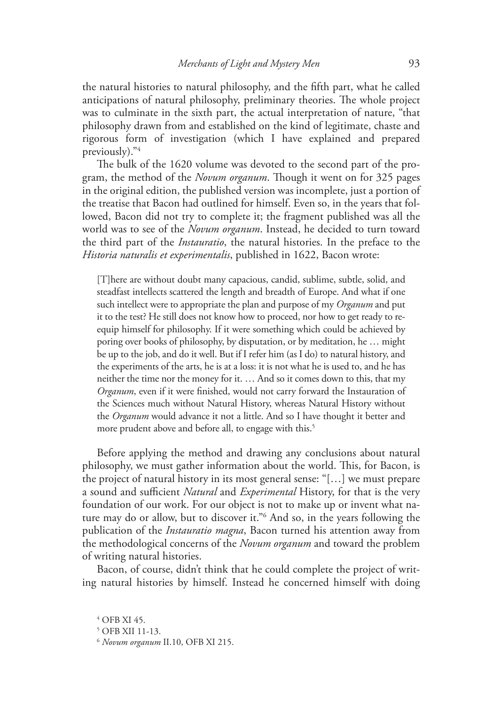the natural histories to natural philosophy, and the fifth part, what he called anticipations of natural philosophy, preliminary theories. The whole project was to culminate in the sixth part, the actual interpretation of nature, "that philosophy drawn from and established on the kind of legitimate, chaste and rigorous form of investigation (which I have explained and prepared previously)."4

The bulk of the 1620 volume was devoted to the second part of the program, the method of the *Novum organum*. Though it went on for 325 pages in the original edition, the published version was incomplete, just a portion of the treatise that Bacon had outlined for himself. Even so, in the years that followed, Bacon did not try to complete it; the fragment published was all the world was to see of the *Novum organum*. Instead, he decided to turn toward the third part of the *Instauratio*, the natural histories. In the preface to the *Historia naturalis et experimentalis*, published in 1622, Bacon wrote:

[T]here are without doubt many capacious, candid, sublime, subtle, solid, and steadfast intellects scattered the length and breadth of Europe. And what if one such intellect were to appropriate the plan and purpose of my *Organum* and put it to the test? He still does not know how to proceed, nor how to get ready to reequip himself for philosophy. If it were something which could be achieved by poring over books of philosophy, by disputation, or by meditation, he … might be up to the job, and do it well. But if I refer him (as I do) to natural history, and the experiments of the arts, he is at a loss: it is not what he is used to, and he has neither the time nor the money for it. … And so it comes down to this, that my *Organum*, even if it were finished, would not carry forward the Instauration of the Sciences much without Natural History, whereas Natural History without the *Organum* would advance it not a little. And so I have thought it better and more prudent above and before all, to engage with this.<sup>5</sup>

Before applying the method and drawing any conclusions about natural philosophy, we must gather information about the world. This, for Bacon, is the project of natural history in its most general sense: "[…] we must prepare a sound and sufficient *Natural* and *Experimental* History, for that is the very foundation of our work. For our object is not to make up or invent what nature may do or allow, but to discover it."6 And so, in the years following the publication of the *Instauratio magna*, Bacon turned his attention away from the methodological concerns of the *Novum organum* and toward the problem of writing natural histories.

Bacon, of course, didn't think that he could complete the project of writing natural histories by himself. Instead he concerned himself with doing

<sup>4</sup> OFB XI 45.

<sup>5</sup> OFB XII 11-13.

<sup>6</sup>  *Novum organum* II.10, OFB XI 215.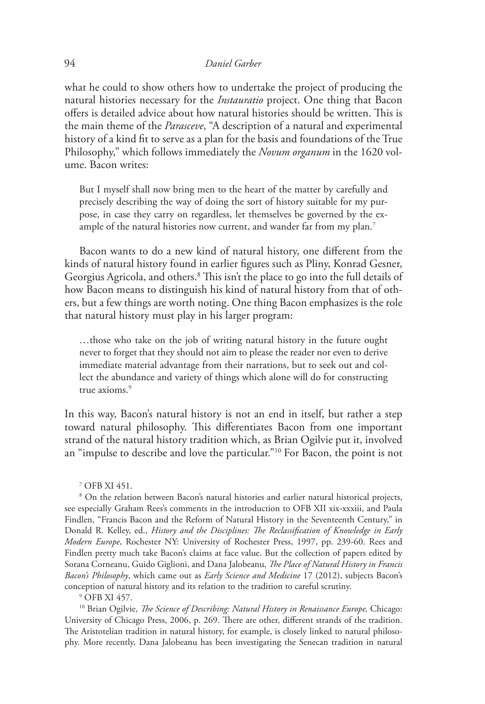# 94 *Daniel Garber*

what he could to show others how to undertake the project of producing the natural histories necessary for the *Instauratio* project. One thing that Bacon offers is detailed advice about how natural histories should be written. This is the main theme of the *Parasceve*, "A description of a natural and experimental history of a kind fit to serve as a plan for the basis and foundations of the True Philosophy," which follows immediately the *Novum organum* in the 1620 volume. Bacon writes:

But I myself shall now bring men to the heart of the matter by carefully and precisely describing the way of doing the sort of history suitable for my purpose, in case they carry on regardless, let themselves be governed by the example of the natural histories now current, and wander far from my plan.<sup>7</sup>

Bacon wants to do a new kind of natural history, one different from the kinds of natural history found in earlier figures such as Pliny, Konrad Gesner, Georgius Agricola, and others.<sup>8</sup> This isn't the place to go into the full details of how Bacon means to distinguish his kind of natural history from that of others, but a few things are worth noting. One thing Bacon emphasizes is the role that natural history must play in his larger program:

…those who take on the job of writing natural history in the future ought never to forget that they should not aim to please the reader nor even to derive immediate material advantage from their narrations, but to seek out and collect the abundance and variety of things which alone will do for constructing true axioms.<sup>9</sup>

In this way, Bacon's natural history is not an end in itself, but rather a step toward natural philosophy. This differentiates Bacon from one important strand of the natural history tradition which, as Brian Ogilvie put it, involved an "impulse to describe and love the particular."10 For Bacon, the point is not

7 OFB XI 451.

<sup>8</sup> On the relation between Bacon's natural histories and earlier natural historical projects, see especially Graham Rees's comments in the introduction to OFB XII xix-xxxiii, and Paula Findlen, "Francis Bacon and the Reform of Natural History in the Seventeenth Century," in Donald R. Kelley, ed., *History and the Disciplines: The Reclassification of Knowledge in Early Modern Europe*, Rochester NY: University of Rochester Press, 1997, pp. 239-60. Rees and Findlen pretty much take Bacon's claims at face value. But the collection of papers edited by Sorana Corneanu, Guido Giglioni, and Dana Jalobeanu, *The Place of Natural History in Francis Bacon's Philosophy*, which came out as *Early Science and Medicine* 17 (2012), subjects Bacon's conception of natural history and its relation to the tradition to careful scrutiny.

OFB XI 457.

<sup>10</sup> Brian Ogilvie, *The Science of Describing: Natural History in Renaissance Europe*, Chicago: University of Chicago Press, 2006, p. 269. There are other, different strands of the tradition. The Aristotelian tradition in natural history, for example, is closely linked to natural philosophy. More recently, Dana Jalobeanu has been investigating the Senecan tradition in natural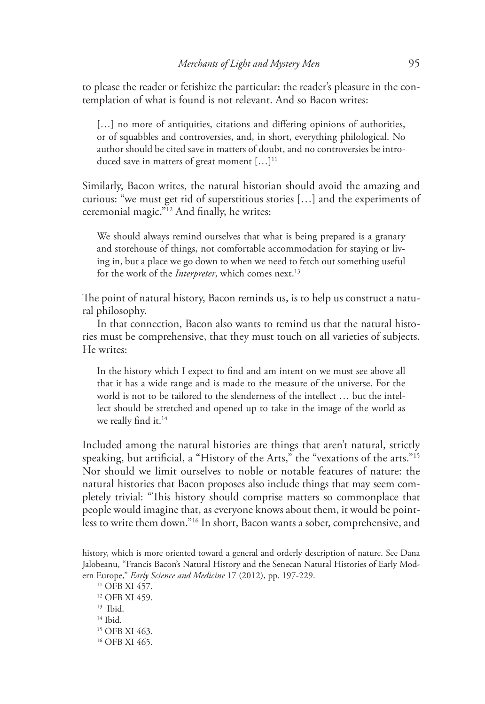to please the reader or fetishize the particular: the reader's pleasure in the contemplation of what is found is not relevant. And so Bacon writes:

[...] no more of antiquities, citations and differing opinions of authorities, or of squabbles and controversies, and, in short, everything philological. No author should be cited save in matters of doubt, and no controversies be introduced save in matters of great moment  $[\dots]^{11}$ 

Similarly, Bacon writes, the natural historian should avoid the amazing and curious: "we must get rid of superstitious stories […] and the experiments of ceremonial magic."<sup>12</sup> And finally, he writes:

We should always remind ourselves that what is being prepared is a granary and storehouse of things, not comfortable accommodation for staying or living in, but a place we go down to when we need to fetch out something useful for the work of the *Interpreter*, which comes next.<sup>13</sup>

The point of natural history, Bacon reminds us, is to help us construct a natural philosophy.

In that connection, Bacon also wants to remind us that the natural histories must be comprehensive, that they must touch on all varieties of subjects. He writes:

In the history which I expect to find and am intent on we must see above all that it has a wide range and is made to the measure of the universe. For the world is not to be tailored to the slenderness of the intellect … but the intellect should be stretched and opened up to take in the image of the world as we really find it.<sup>14</sup>

Included among the natural histories are things that aren't natural, strictly speaking, but artificial, a "History of the Arts," the "vexations of the arts."<sup>15</sup> Nor should we limit ourselves to noble or notable features of nature: the natural histories that Bacon proposes also include things that may seem completely trivial: "This history should comprise matters so commonplace that people would imagine that, as everyone knows about them, it would be pointless to write them down."16 In short, Bacon wants a sober, comprehensive, and

<sup>11</sup> OFB XI 457. 12 OFB XI 459. 13 Ibid.  $14$  Ibid. 15 OFB XI 463. <sup>16</sup> OFB XI 465.

history, which is more oriented toward a general and orderly description of nature. See Dana Jalobeanu, "Francis Bacon's Natural History and the Senecan Natural Histories of Early Modern Europe," *Early Science and Medicine* 17 (2012), pp. 197-229.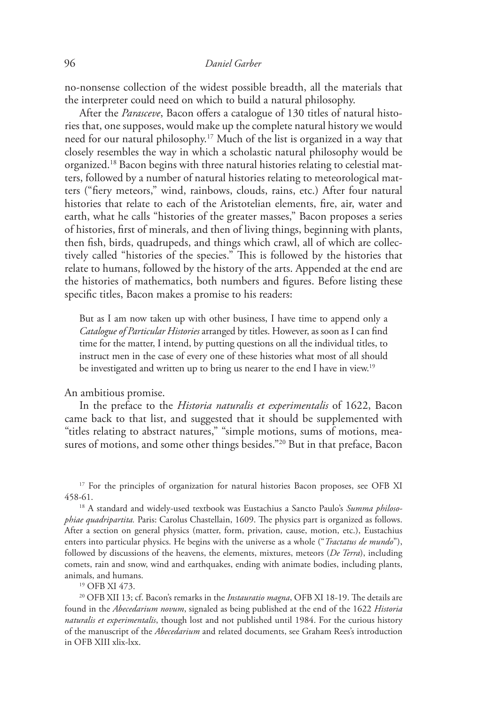no-nonsense collection of the widest possible breadth, all the materials that the interpreter could need on which to build a natural philosophy.

After the *Parasceve*, Bacon offers a catalogue of 130 titles of natural histories that, one supposes, would make up the complete natural history we would need for our natural philosophy.17 Much of the list is organized in a way that closely resembles the way in which a scholastic natural philosophy would be organized.18 Bacon begins with three natural histories relating to celestial matters, followed by a number of natural histories relating to meteorological matters ("fiery meteors," wind, rainbows, clouds, rains, etc.) After four natural histories that relate to each of the Aristotelian elements, fire, air, water and earth, what he calls "histories of the greater masses," Bacon proposes a series of histories, first of minerals, and then of living things, beginning with plants, then fish, birds, quadrupeds, and things which crawl, all of which are collectively called "histories of the species." This is followed by the histories that relate to humans, followed by the history of the arts. Appended at the end are the histories of mathematics, both numbers and figures. Before listing these specific titles, Bacon makes a promise to his readers:

But as I am now taken up with other business, I have time to append only a *Catalogue of Particular Histories* arranged by titles. However, as soon as I can find time for the matter, I intend, by putting questions on all the individual titles, to instruct men in the case of every one of these histories what most of all should be investigated and written up to bring us nearer to the end I have in view.<sup>19</sup>

An ambitious promise.

In the preface to the *Historia naturalis et experimentalis* of 1622, Bacon came back to that list, and suggested that it should be supplemented with "titles relating to abstract natures," "simple motions, sums of motions, measures of motions, and some other things besides."<sup>20</sup> But in that preface, Bacon

<sup>17</sup> For the principles of organization for natural histories Bacon proposes, see OFB XI 458-61. 18 A standard and widely-used textbook was Eustachius a Sancto Paulo's *Summa philoso-*

*phiae quadripartita*. Paris: Carolus Chastellain, 1609. The physics part is organized as follows. After a section on general physics (matter, form, privation, cause, motion, etc.), Eustachius enters into particular physics. He begins with the universe as a whole ("*Tractatus de mundo*"), followed by discussions of the heavens, the elements, mixtures, meteors (*De Terra*), including comets, rain and snow, wind and earthquakes, ending with animate bodies, including plants, animals, and humans. 19 OFB XI 473.

<sup>20</sup> OFB XII 13; cf. Bacon's remarks in the *Instauratio magna*, OFB XI 18-19. The details are found in the *Abecedarium novum*, signaled as being published at the end of the 1622 *Historia naturalis et experimentalis*, though lost and not published until 1984. For the curious history of the manuscript of the *Abecedarium* and related documents, see Graham Rees's introduction in OFB XIII xlix-lxx.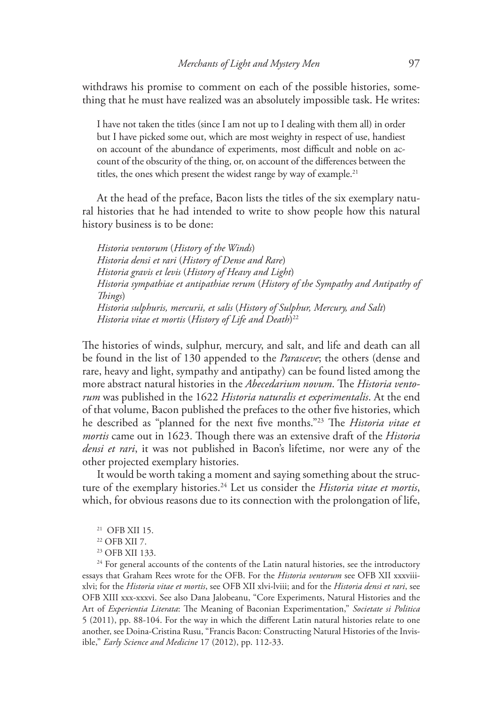withdraws his promise to comment on each of the possible histories, something that he must have realized was an absolutely impossible task. He writes:

I have not taken the titles (since I am not up to I dealing with them all) in order but I have picked some out, which are most weighty in respect of use, handiest on account of the abundance of experiments, most difficult and noble on account of the obscurity of the thing, or, on account of the differences between the titles, the ones which present the widest range by way of example.<sup>21</sup>

At the head of the preface, Bacon lists the titles of the six exemplary natural histories that he had intended to write to show people how this natural history business is to be done:

*Historia ventorum* (*History of the Winds*) *Historia densi et rari* (*History of Dense and Rare*) *Historia gravis et levis* (*History of Heavy and Light*)  *Historia sympathiae et antipathiae rerum* (*History of the Sympathy and Antipathy of Th ings*) *Historia sulphuris, mercurii, et salis* (*History of Sulphur, Mercury, and Salt*) *Historia vitae et mortis* (*History of Life and Death*) 22

The histories of winds, sulphur, mercury, and salt, and life and death can all be found in the list of 130 appended to the *Parasceve*; the others (dense and rare, heavy and light, sympathy and antipathy) can be found listed among the more abstract natural histories in the *Abecedarium novum*. The *Historia ventorum* was published in the 1622 *Historia naturalis et experimentalis*. At the end of that volume, Bacon published the prefaces to the other five histories, which he described as "planned for the next five months."<sup>23</sup> The *Historia vitae et mortis* came out in 1623. Though there was an extensive draft of the *Historia densi et rari*, it was not published in Bacon's lifetime, nor were any of the other projected exemplary histories.

It would be worth taking a moment and saying something about the structure of the exemplary histories.24 Let us consider the *Historia vitae et mortis*, which, for obvious reasons due to its connection with the prolongation of life,

- 21 OFB XII 15.
- 22 OFB XII 7.
- 23 OFB XII 133.

<sup>24</sup> For general accounts of the contents of the Latin natural histories, see the introductory essays that Graham Rees wrote for the OFB. For the *Historia ventorum* see OFB XII xxxviiixlvi; for the *Historia vitae et mortis*, see OFB XII xlvi-lviii; and for the *Historia densi et rari*, see OFB XIII xxx-xxxvi. See also Dana Jalobeanu, "Core Experiments, Natural Histories and the Art of *Experientia Literata*: The Meaning of Baconian Experimentation," Societate si Politica 5 (2011), pp. 88-104. For the way in which the different Latin natural histories relate to one another, see Doina-Cristina Rusu, "Francis Bacon: Constructing Natural Histories of the Invisible," *Early Science and Medicine* 17 (2012), pp. 112-33.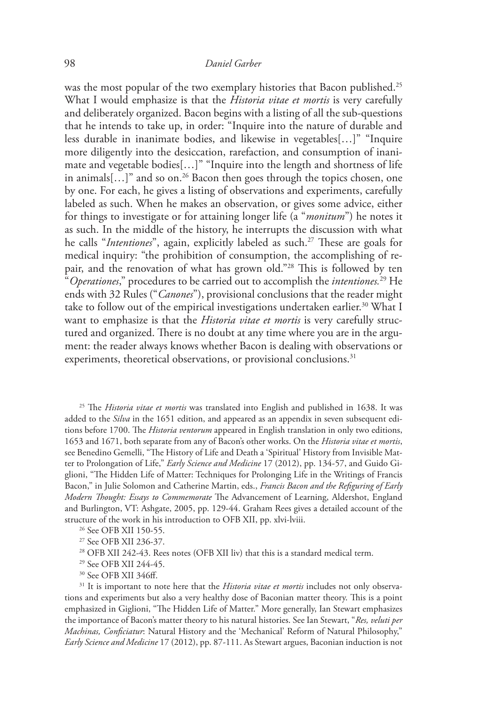### 98 *Daniel Garber*

was the most popular of the two exemplary histories that Bacon published.<sup>25</sup> What I would emphasize is that the *Historia vitae et mortis* is very carefully and deliberately organized. Bacon begins with a listing of all the sub-questions that he intends to take up, in order: "Inquire into the nature of durable and less durable in inanimate bodies, and likewise in vegetables[…]" "Inquire more diligently into the desiccation, rarefaction, and consumption of inanimate and vegetable bodies[…]" "Inquire into the length and shortness of life in animals[...]" and so on.<sup>26</sup> Bacon then goes through the topics chosen, one by one. For each, he gives a listing of observations and experiments, carefully labeled as such. When he makes an observation, or gives some advice, either for things to investigate or for attaining longer life (a "*monitum*") he notes it as such. In the middle of the history, he interrupts the discussion with what he calls "*Intentiones*", again, explicitly labeled as such.<sup>27</sup> These are goals for medical inquiry: "the prohibition of consumption, the accomplishing of repair, and the renovation of what has grown old."<sup>28</sup> This is followed by ten "*Operationes*," procedures to be carried out to accomplish the *intentiones.*29 He ends with 32 Rules ("*Canones*"), provisional conclusions that the reader might take to follow out of the empirical investigations undertaken earlier.<sup>30</sup> What I want to emphasize is that the *Historia vitae et mortis* is very carefully structured and organized. There is no doubt at any time where you are in the argument: the reader always knows whether Bacon is dealing with observations or experiments, theoretical observations, or provisional conclusions.<sup>31</sup>

<sup>25</sup> The *Historia vitae et mortis* was translated into English and published in 1638. It was added to the *Silva* in the 1651 edition, and appeared as an appendix in seven subsequent editions before 1700. The *Historia ventorum* appeared in English translation in only two editions, 1653 and 1671, both separate from any of Bacon's other works. On the *Historia vitae et mortis*, see Benedino Gemelli, "The History of Life and Death a 'Spiritual' History from Invisible Matter to Prolongation of Life," *Early Science and Medicine* 17 (2012), pp. 134-57, and Guido Giglioni, "The Hidden Life of Matter: Techniques for Prolonging Life in the Writings of Francis Bacon," in Julie Solomon and Catherine Martin, eds., *Francis Bacon and the Refiguring of Early Modern Thought: Essays to Commemorate* The Advancement of Learning, Aldershot, England and Burlington, VT: Ashgate, 2005, pp. 129-44. Graham Rees gives a detailed account of the structure of the work in his introduction to OFB XII, pp. xlvi-lviii.<br><sup>26</sup> See OFB XII 150-55.

- 
- 27 See OFB XII 236-37.
- <sup>28</sup> OFB XII 242-43. Rees notes (OFB XII liv) that this is a standard medical term.
- 29 See OFB XII 244-45.
- 

<sup>30</sup> See OFB XII 346ff.<br><sup>31</sup> It is important to note here that the *Historia vitae et mortis* includes not only observations and experiments but also a very healthy dose of Baconian matter theory. This is a point emphasized in Giglioni, "The Hidden Life of Matter." More generally, Ian Stewart emphasizes the importance of Bacon's matter theory to his natural histories. See Ian Stewart, "*Res, veluti per Machinas, Conficiatur*: Natural History and the 'Mechanical' Reform of Natural Philosophy," *Early Science and Medicine* 17 (2012), pp. 87-111. As Stewart argues, Baconian induction is not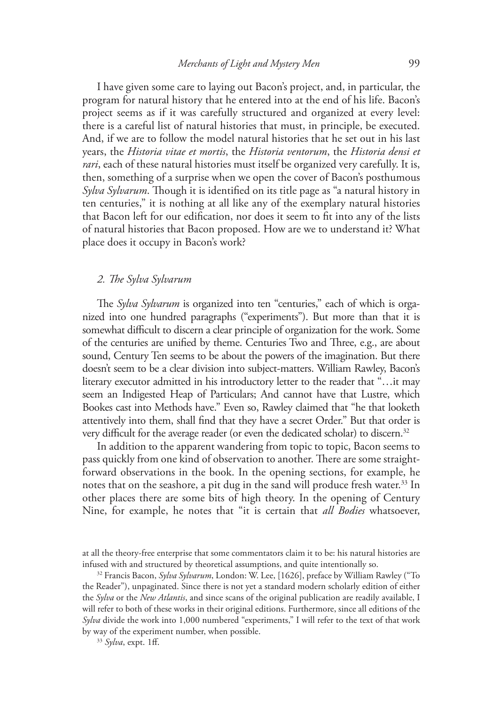I have given some care to laying out Bacon's project, and, in particular, the program for natural history that he entered into at the end of his life. Bacon's project seems as if it was carefully structured and organized at every level: there is a careful list of natural histories that must, in principle, be executed. And, if we are to follow the model natural histories that he set out in his last years, the *Historia vitae et mortis*, the *Historia ventorum*, the *Historia densi et rari*, each of these natural histories must itself be organized very carefully. It is, then, something of a surprise when we open the cover of Bacon's posthumous *Sylva Sylvarum*. Though it is identified on its title page as "a natural history in ten centuries," it is nothing at all like any of the exemplary natural histories that Bacon left for our edification, nor does it seem to fit into any of the lists of natural histories that Bacon proposed. How are we to understand it? What place does it occupy in Bacon's work?

#### 2. The Sylva Sylvarum

The *Sylva Sylvarum* is organized into ten "centuries," each of which is organized into one hundred paragraphs ("experiments"). But more than that it is somewhat difficult to discern a clear principle of organization for the work. Some of the centuries are unified by theme. Centuries Two and Three, e.g., are about sound, Century Ten seems to be about the powers of the imagination. But there doesn't seem to be a clear division into subject-matters. William Rawley, Bacon's literary executor admitted in his introductory letter to the reader that "…it may seem an Indigested Heap of Particulars; And cannot have that Lustre, which Bookes cast into Methods have." Even so, Rawley claimed that "he that looketh attentively into them, shall find that they have a secret Order." But that order is very difficult for the average reader (or even the dedicated scholar) to discern.<sup>32</sup>

In addition to the apparent wandering from topic to topic, Bacon seems to pass quickly from one kind of observation to another. There are some straightforward observations in the book. In the opening sections, for example, he notes that on the seashore, a pit dug in the sand will produce fresh water.<sup>33</sup> In other places there are some bits of high theory. In the opening of Century Nine, for example, he notes that "it is certain that *all Bodies* whatsoever,

the Reader"), unpaginated. Since there is not yet a standard modern scholarly edition of either the *Sylva* or the *New Atlantis*, and since scans of the original publication are readily available, I will refer to both of these works in their original editions. Furthermore, since all editions of the *Sylva* divide the work into 1,000 numbered "experiments," I will refer to the text of that work by way of the experiment number, when possible.

<sup>33</sup> Sylva, expt. 1ff.

at all the theory-free enterprise that some commentators claim it to be: his natural histories are infused with and structured by theoretical assumptions, and quite intentionally so. 32 Francis Bacon, *Sylva Sylvarum*, London: W. Lee, [1626], preface by William Rawley ("To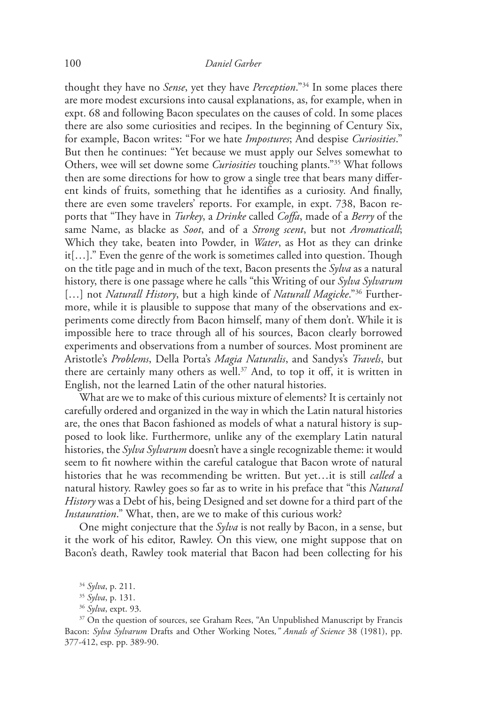thought they have no *Sense*, yet they have *Perception*."34 In some places there are more modest excursions into causal explanations, as, for example, when in expt. 68 and following Bacon speculates on the causes of cold. In some places there are also some curiosities and recipes. In the beginning of Century Six, for example, Bacon writes: "For we hate *Impostures*; And despise *Curiosities*." But then he continues: "Yet because we must apply our Selves somewhat to Others, wee will set downe some *Curiosities* touching plants."35 What follows then are some directions for how to grow a single tree that bears many different kinds of fruits, something that he identifies as a curiosity. And finally, there are even some travelers' reports. For example, in expt. 738, Bacon reports that "They have in *Turkey*, a *Drinke* called *Coffa*, made of a *Berry* of the same Name, as blacke as *Soot*, and of a *Strong scent*, but not *Aromaticall*; Which they take, beaten into Powder, in *Water*, as Hot as they can drinke  $it[...]$ ." Even the genre of the work is sometimes called into question. Though on the title page and in much of the text, Bacon presents the *Sylva* as a natural history, there is one passage where he calls "this Writing of our *Sylva Sylvarum* […] not *Naturall History*, but a high kinde of *Naturall Magicke*."36 Furthermore, while it is plausible to suppose that many of the observations and experiments come directly from Bacon himself, many of them don't. While it is impossible here to trace through all of his sources, Bacon clearly borrowed experiments and observations from a number of sources. Most prominent are Aristotle's *Problems*, Della Porta's *Magia Naturalis*, and Sandys's *Travels*, but there are certainly many others as well.<sup>37</sup> And, to top it off, it is written in English, not the learned Latin of the other natural histories.

What are we to make of this curious mixture of elements? It is certainly not carefully ordered and organized in the way in which the Latin natural histories are, the ones that Bacon fashioned as models of what a natural history is supposed to look like. Furthermore, unlike any of the exemplary Latin natural histories, the *Sylva Sylvarum* doesn't have a single recognizable theme: it would seem to fit nowhere within the careful catalogue that Bacon wrote of natural histories that he was recommending be written. But yet…it is still *called* a natural history. Rawley goes so far as to write in his preface that "this *Natural History* was a Debt of his, being Designed and set downe for a third part of the *Instauration*." What, then, are we to make of this curious work?

One might conjecture that the *Sylva* is not really by Bacon, in a sense, but it the work of his editor, Rawley. On this view, one might suppose that on Bacon's death, Rawley took material that Bacon had been collecting for his

<sup>34</sup> *Sylva*, p. 211. 35 *Sylva*, p. 131.

<sup>&</sup>lt;sup>36</sup> Sylva, expt. 93.<br><sup>37</sup> On the question of sources, see Graham Rees, "An Unpublished Manuscript by Francis Bacon: *Sylva Sylvarum* Drafts and Other Working Notes*," Annals of Science* 38 (1981), pp. 377-412, esp. pp. 389-90.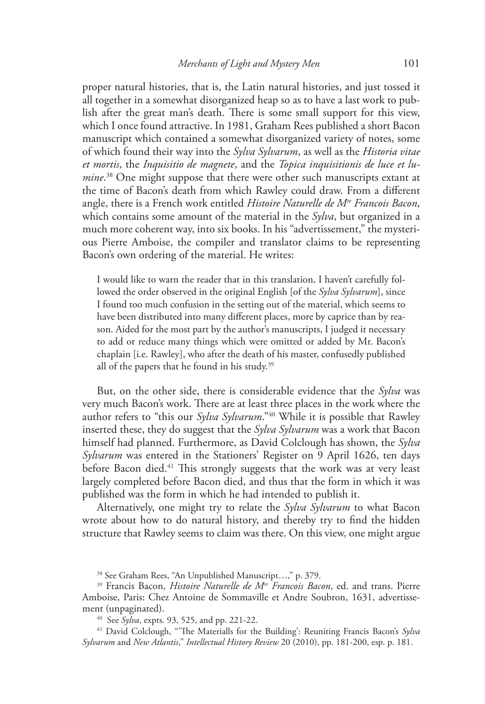proper natural histories, that is, the Latin natural histories, and just tossed it all together in a somewhat disorganized heap so as to have a last work to publish after the great man's death. There is some small support for this view, which I once found attractive. In 1981, Graham Rees published a short Bacon manuscript which contained a somewhat disorganized variety of notes, some of which found their way into the *Sylva Sylvarum*, as well as the *Historia vitae et mortis*, the *Inquisitio de magnete*, and the *Topica inquisitionis de luce et lumine*. 38 One might suppose that there were other such manuscripts extant at the time of Bacon's death from which Rawley could draw. From a different angle, there is a French work entitled *Histoire Naturelle de Mre Francois Bacon*, which contains some amount of the material in the *Sylva*, but organized in a much more coherent way, into six books. In his "advertissement," the mysterious Pierre Amboise, the compiler and translator claims to be representing Bacon's own ordering of the material. He writes:

I would like to warn the reader that in this translation, I haven't carefully followed the order observed in the original English [of the *Sylva Sylvarum*], since I found too much confusion in the setting out of the material, which seems to have been distributed into many different places, more by caprice than by reason. Aided for the most part by the author's manuscripts, I judged it necessary to add or reduce many things which were omitted or added by Mr. Bacon's chaplain [i.e. Rawley], who after the death of his master, confusedly published all of the papers that he found in his study.<sup>39</sup>

But, on the other side, there is considerable evidence that the *Sylva* was very much Bacon's work. There are at least three places in the work where the author refers to "this our *Sylva Sylvarum*."40 While it is possible that Rawley inserted these, they do suggest that the *Sylva Sylvarum* was a work that Bacon himself had planned. Furthermore, as David Colclough has shown, the *Sylva Sylvarum* was entered in the Stationers' Register on 9 April 1626, ten days before Bacon died.<sup>41</sup> This strongly suggests that the work was at very least largely completed before Bacon died, and thus that the form in which it was published was the form in which he had intended to publish it.

Alternatively, one might try to relate the *Sylva Sylvarum* to what Bacon wrote about how to do natural history, and thereby try to find the hidden structure that Rawley seems to claim was there. On this view, one might argue

<sup>38</sup> See Graham Rees, "An Unpublished Manuscript…," p. 379.

<sup>39</sup> Francis Bacon, *Histoire Naturelle de Mre Francois Bacon*, ed. and trans. Pierre Amboise, Paris: Chez Antoine de Sommaville et Andre Soubron, 1631, advertissement (unpaginated).

<sup>40</sup> See *Sylva*, expts. 93, 525, and pp. 221-22.

<sup>&</sup>lt;sup>41</sup> David Colclough, "The Materialls for the Building': Reuniting Francis Bacon's Sylva *Sylvarum* and *New Atlantis*," *Intellectual History Review* 20 (2010), pp. 181-200, esp. p. 181.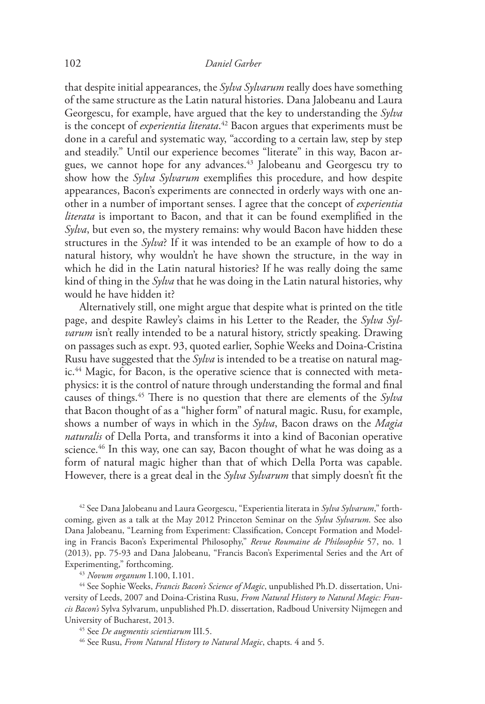that despite initial appearances, the *Sylva Sylvarum* really does have something of the same structure as the Latin natural histories. Dana Jalobeanu and Laura Georgescu, for example, have argued that the key to understanding the *Sylva* is the concept of *experientia literata*. 42 Bacon argues that experiments must be done in a careful and systematic way, "according to a certain law, step by step and steadily." Until our experience becomes "literate" in this way, Bacon argues, we cannot hope for any advances.43 Jalobeanu and Georgescu try to show how the *Sylva Sylvarum* exemplifies this procedure, and how despite appearances, Bacon's experiments are connected in orderly ways with one another in a number of important senses. I agree that the concept of *experientia literata* is important to Bacon, and that it can be found exemplified in the *Sylva*, but even so, the mystery remains: why would Bacon have hidden these structures in the *Sylva*? If it was intended to be an example of how to do a natural history, why wouldn't he have shown the structure, in the way in which he did in the Latin natural histories? If he was really doing the same kind of thing in the *Sylva* that he was doing in the Latin natural histories, why would he have hidden it?

Alternatively still, one might argue that despite what is printed on the title page, and despite Rawley's claims in his Letter to the Reader, the *Sylva Sylvarum* isn't really intended to be a natural history, strictly speaking. Drawing on passages such as expt. 93, quoted earlier, Sophie Weeks and Doina-Cristina Rusu have suggested that the *Sylva* is intended to be a treatise on natural magic.<sup>44</sup> Magic, for Bacon, is the operative science that is connected with metaphysics: it is the control of nature through understanding the formal and final causes of things.<sup>45</sup> There is no question that there are elements of the *Sylva* that Bacon thought of as a "higher form" of natural magic. Rusu, for example, shows a number of ways in which in the *Sylva*, Bacon draws on the *Magia naturalis* of Della Porta, and transforms it into a kind of Baconian operative science.<sup>46</sup> In this way, one can say, Bacon thought of what he was doing as a form of natural magic higher than that of which Della Porta was capable. However, there is a great deal in the *Sylva Sylvarum* that simply doesn't fit the

42 See Dana Jalobeanu and Laura Georgescu, "Experientia literata in *Sylva Sylvarum*," forthcoming, given as a talk at the May 2012 Princeton Seminar on the *Sylva Sylvarum*. See also Dana Jalobeanu, "Learning from Experiment: Classification, Concept Formation and Modeling in Francis Bacon's Experimental Philosophy," *Revue Roumaine de Philosophie* 57, no. 1 (2013), pp. 75-93 and Dana Jalobeanu, "Francis Bacon's Experimental Series and the Art of Experimenting," forthcoming. 43 *Novum organum* I.100, I.101.

44 See Sophie Weeks, *Francis Bacon's Science of Magic*, unpublished Ph.D. dissertation, University of Leeds, 2007 and Doina-Cristina Rusu, *From Natural History to Natural Magic: Francis Bacon's* Sylva Sylvarum, unpublished Ph.D. dissertation, Radboud University Nijmegen and University of Bucharest, 2013. 45 See *De augmentis scientiarum* III.5.

46 See Rusu, *From Natural History to Natural Magic*, chapts. 4 and 5.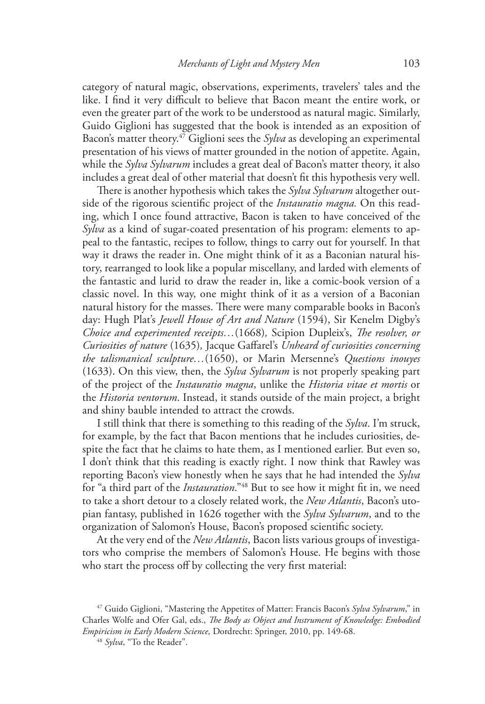category of natural magic, observations, experiments, travelers' tales and the like. I find it very difficult to believe that Bacon meant the entire work, or even the greater part of the work to be understood as natural magic. Similarly, Guido Giglioni has suggested that the book is intended as an exposition of Bacon's matter theory.<sup>47</sup> Giglioni sees the *Sylva* as developing an experimental presentation of his views of matter grounded in the notion of appetite. Again, while the *Sylva Sylvarum* includes a great deal of Bacon's matter theory, it also includes a great deal of other material that doesn't fit this hypothesis very well.

There is another hypothesis which takes the *Sylva Sylvarum* altogether outside of the rigorous scientific project of the *Instauratio magna*. On this reading, which I once found attractive, Bacon is taken to have conceived of the *Sylva* as a kind of sugar-coated presentation of his program: elements to appeal to the fantastic, recipes to follow, things to carry out for yourself. In that way it draws the reader in. One might think of it as a Baconian natural history, rearranged to look like a popular miscellany, and larded with elements of the fantastic and lurid to draw the reader in, like a comic-book version of a classic novel. In this way, one might think of it as a version of a Baconian natural history for the masses. There were many comparable books in Bacon's day: Hugh Plat's *Jewell House of Art and Nature* (1594), Sir Kenelm Digby's *Choice and experimented receipts...*(1668), Scipion Dupleix's, *The resolver, or Curiosities of nature* (1635), Jacque Gaffarel's *Unheard of curiosities concerning the talismanical sculpture…*(1650), or Marin Mersenne's *Questions inouyes* (1633). On this view, then, the *Sylva Sylvarum* is not properly speaking part of the project of the *Instauratio magna*, unlike the *Historia vitae et mortis* or the *Historia ventorum*. Instead, it stands outside of the main project, a bright and shiny bauble intended to attract the crowds.

I still think that there is something to this reading of the *Sylva*. I'm struck, for example, by the fact that Bacon mentions that he includes curiosities, despite the fact that he claims to hate them, as I mentioned earlier. But even so, I don't think that this reading is exactly right. I now think that Rawley was reporting Bacon's view honestly when he says that he had intended the *Sylva* for "a third part of the *Instauration*."<sup>48</sup> But to see how it might fit in, we need to take a short detour to a closely related work, the *New Atlantis*, Bacon's utopian fantasy, published in 1626 together with the *Sylva Sylvarum*, and to the organization of Salomon's House, Bacon's proposed scientific society.

At the very end of the *New Atlantis*, Bacon lists various groups of investigators who comprise the members of Salomon's House. He begins with those who start the process off by collecting the very first material:

<sup>47</sup> Guido Giglioni, "Mastering the Appetites of Matter: Francis Bacon's *Sylva Sylvarum*," in Charles Wolfe and Ofer Gal, eds., *The Body as Object and Instrument of Knowledge: Embodied Empiricism in Early Modern Science,* Dordrecht: Springer, 2010, pp. 149-68.

<sup>48</sup> *Sylva*, "To the Reader".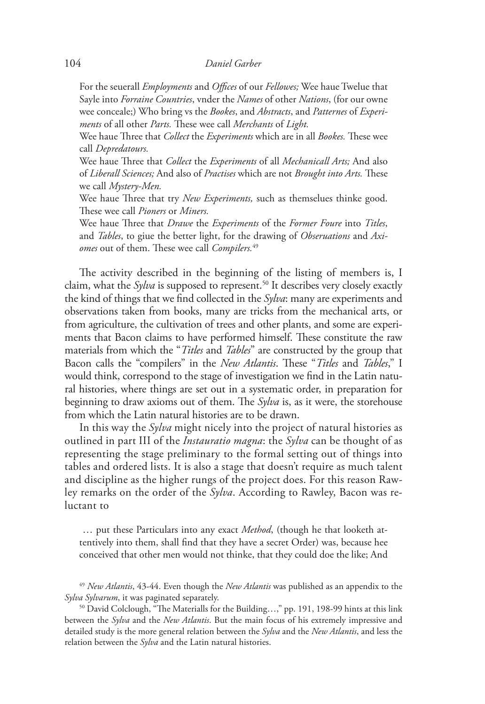For the seuerall *Employments* and *Offices* of our *Fellowes*; Wee haue Twelue that Sayle into *Forraine Countries*, vnder the *Names* of other *Nations*, (for our owne wee conceale;) Who bring vs the *Bookes*, and *Abstracts*, and *Patternes* of *Experiments* of all other *Parts*. These wee call *Merchants* of *Light*.

Wee haue Three that *Collect* the *Experiments* which are in all *Bookes*. These wee call *Depredatours.*

Wee haue Three that *Collect* the *Experiments* of all *Mechanicall Arts;* And also of *Liberall Sciences;* And also of *Practises* which are not *Brought into Arts*. These we call *Mystery-Men.*

Wee haue Three that try *New Experiments*, such as themselues thinke good. Th ese wee call *Pioners* or *Miners.*

Wee haue Th ree that *Drawe* the *Experiments* of the *Former Foure* into *Titles*, and *Tables*, to giue the better light, for the drawing of *Obseruations* and *Axiomes* out of them. These wee call *Compilers*.<sup>49</sup>

The activity described in the beginning of the listing of members is, I claim, what the *Sylva* is supposed to represent.<sup>50</sup> It describes very closely exactly the kind of things that we find collected in the *Sylva*: many are experiments and observations taken from books, many are tricks from the mechanical arts, or from agriculture, the cultivation of trees and other plants, and some are experiments that Bacon claims to have performed himself. These constitute the raw materials from which the "*Titles* and *Tables*" are constructed by the group that Bacon calls the "compilers" in the *New Atlantis*. These "Titles and *Tables*," I would think, correspond to the stage of investigation we find in the Latin natural histories, where things are set out in a systematic order, in preparation for beginning to draw axioms out of them. The *Sylva* is, as it were, the storehouse from which the Latin natural histories are to be drawn.

In this way the *Sylva* might nicely into the project of natural histories as outlined in part III of the *Instauratio magna*: the *Sylva* can be thought of as representing the stage preliminary to the formal setting out of things into tables and ordered lists. It is also a stage that doesn't require as much talent and discipline as the higher rungs of the project does. For this reason Rawley remarks on the order of the *Sylva*. According to Rawley, Bacon was reluctant to

 … put these Particulars into any exact *Method*, (though he that looketh attentively into them, shall find that they have a secret Order) was, because hee conceived that other men would not thinke, that they could doe the like; And

<sup>49</sup> *New Atlantis*, 43-44. Even though the *New Atlantis* was published as an appendix to the *Sylva Sylvarum*, it was paginated separately.<br><sup>50</sup> David Colclough, "The Materialls for the Building…," pp. 191, 198-99 hints at this link

between the *Sylva* and the *New Atlantis*. But the main focus of his extremely impressive and detailed study is the more general relation between the *Sylva* and the *New Atlantis*, and less the relation between the *Sylva* and the Latin natural histories.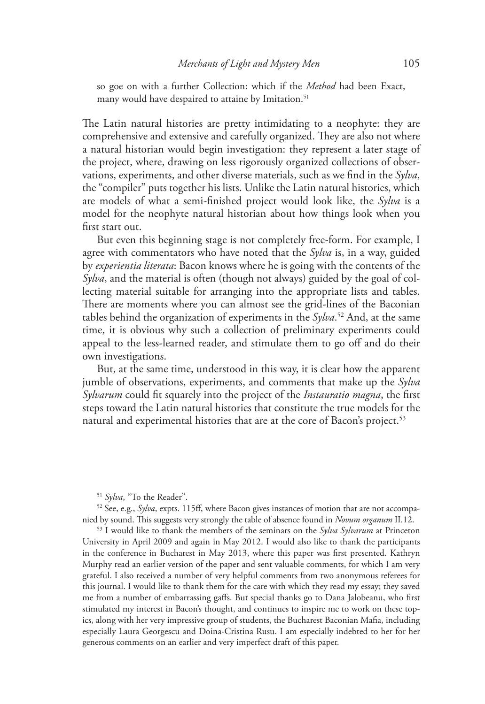so goe on with a further Collection: which if the *Method* had been Exact, many would have despaired to attaine by Imitation.<sup>51</sup>

The Latin natural histories are pretty intimidating to a neophyte: they are comprehensive and extensive and carefully organized. They are also not where a natural historian would begin investigation: they represent a later stage of the project, where, drawing on less rigorously organized collections of observations, experiments, and other diverse materials, such as we find in the *Sylva*, the "compiler" puts together his lists. Unlike the Latin natural histories, which are models of what a semi-finished project would look like, the *Sylva* is a model for the neophyte natural historian about how things look when you first start out.

But even this beginning stage is not completely free-form. For example, I agree with commentators who have noted that the *Sylva* is, in a way, guided by *experientia literata*: Bacon knows where he is going with the contents of the *Sylva*, and the material is often (though not always) guided by the goal of collecting material suitable for arranging into the appropriate lists and tables. There are moments where you can almost see the grid-lines of the Baconian tables behind the organization of experiments in the *Sylva*. 52 And, at the same time, it is obvious why such a collection of preliminary experiments could appeal to the less-learned reader, and stimulate them to go off and do their own investigations.

But, at the same time, understood in this way, it is clear how the apparent jumble of observations, experiments, and comments that make up the *Sylva Sylvarum* could fit squarely into the project of the *Instauratio magna*, the first steps toward the Latin natural histories that constitute the true models for the natural and experimental histories that are at the core of Bacon's project.<sup>53</sup>

<sup>52</sup> See, e.g., *Sylva*, expts. 115ff, where Bacon gives instances of motion that are not accompanied by sound. This suggests very strongly the table of absence found in *Novum organum* II.12.

53 I would like to thank the members of the seminars on the *Sylva Sylvarum* at Princeton University in April 2009 and again in May 2012. I would also like to thank the participants in the conference in Bucharest in May 2013, where this paper was first presented. Kathryn Murphy read an earlier version of the paper and sent valuable comments, for which I am very grateful. I also received a number of very helpful comments from two anonymous referees for this journal. I would like to thank them for the care with which they read my essay; they saved me from a number of embarrassing gaffs. But special thanks go to Dana Jalobeanu, who first stimulated my interest in Bacon's thought, and continues to inspire me to work on these topics, along with her very impressive group of students, the Bucharest Baconian Mafia, including especially Laura Georgescu and Doina-Cristina Rusu. I am especially indebted to her for her generous comments on an earlier and very imperfect draft of this paper.

<sup>51</sup> *Sylva*, "To the Reader".